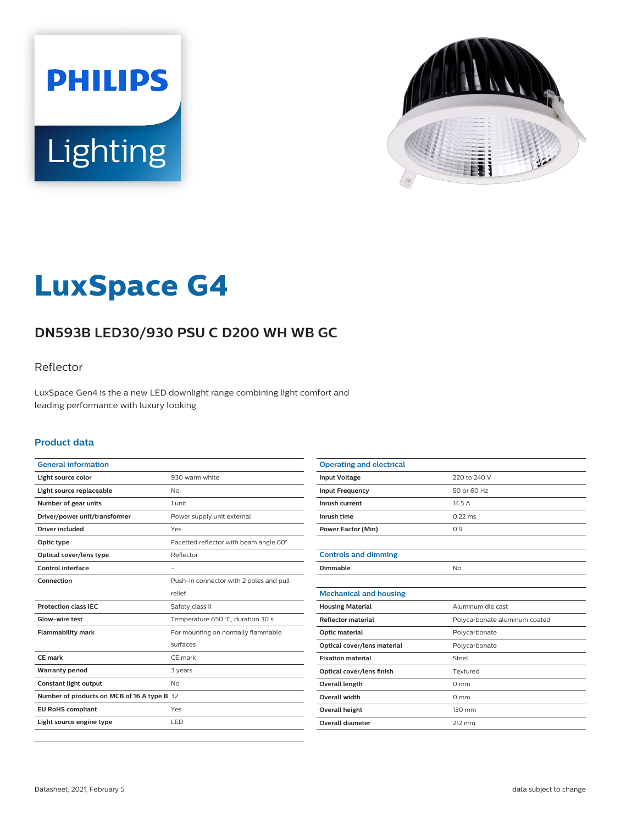



# **LuxSpace G4**

# **DN593B LED30/930 PSU C D200 WH WB GC**

### Reflector

LuxSpace Gen4 is the a new LED downlight range combining light comfort and leading performance with luxury looking

#### **Product data**

| <b>General information</b>                  |                                         |
|---------------------------------------------|-----------------------------------------|
| Light source color                          | 930 warm white                          |
| Light source replaceable                    | <b>No</b>                               |
| Number of gear units                        | 1 unit                                  |
| Driver/power unit/transformer               | Power supply unit external              |
| <b>Driver included</b>                      | Yes                                     |
| Optic type                                  | Facetted reflector with beam angle 60°  |
| Optical cover/lens type                     | Reflector                               |
| Control interface                           |                                         |
| Connection                                  | Push-in connector with 2 poles and pull |
|                                             | relief                                  |
| <b>Protection class IEC</b>                 | Safety class II                         |
| Glow-wire test                              | Temperature 650 °C, duration 30 s       |
| <b>Flammability mark</b>                    | For mounting on normally flammable      |
|                                             | surfaces                                |
| CF mark                                     | CE mark                                 |
| <b>Warranty period</b>                      | 3 years                                 |
| Constant light output                       | <b>No</b>                               |
| Number of products on MCB of 16 A type B 32 |                                         |
| <b>EU RoHS compliant</b>                    | Yes                                     |
| Light source engine type                    | LED                                     |
|                                             |                                         |

| <b>Operating and electrical</b> |                               |
|---------------------------------|-------------------------------|
| <b>Input Voltage</b>            | 220 to 240 V                  |
| <b>Input Frequency</b>          | 50 or 60 Hz                   |
| Inrush current                  | 14.5 A                        |
| Inrush time                     | $0.22$ ms                     |
| <b>Power Factor (Min)</b>       | 0.9                           |
|                                 |                               |
| <b>Controls and dimming</b>     |                               |
| Dimmable                        | No                            |
|                                 |                               |
| <b>Mechanical and housing</b>   |                               |
| <b>Housing Material</b>         | Aluminum die cast             |
| <b>Reflector material</b>       | Polycarbonate aluminum coated |
| Optic material                  | Polycarbonate                 |
| Optical cover/lens material     | Polycarbonate                 |
| <b>Fixation material</b>        | Steel                         |
| Optical cover/lens finish       | Textured                      |
| <b>Overall length</b>           | $0 \text{ mm}$                |
| <b>Overall width</b>            | $0 \text{ mm}$                |
| Overall height                  | 130 mm                        |
| Overall diameter                | 212 mm                        |
|                                 |                               |